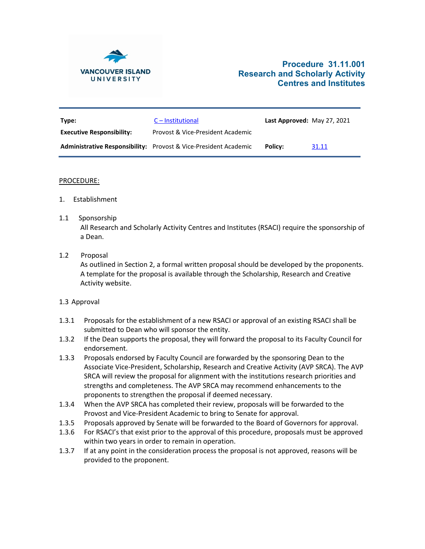

# **Procedure 31.11.001 Research and Scholarly Activity Centres and Institutes**

| Type:                            | $C$ – Institutional                                                     | Last Approved: May 27, 2021 |       |
|----------------------------------|-------------------------------------------------------------------------|-----------------------------|-------|
| <b>Executive Responsibility:</b> | Provost & Vice-President Academic                                       |                             |       |
|                                  | <b>Administrative Responsibility:</b> Provost & Vice-President Academic | Policy:                     | 31.11 |

#### PROCEDURE:

- 1. Establishment
- 1.1 Sponsorship All Research and Scholarly Activity Centres and Institutes (RSACI) require the sponsorship of a Dean.
- 1.2 Proposal

As outlined in Section 2, a formal written proposal should be developed by the proponents. A template for the proposal is available through the Scholarship, Research and Creative Activity website.

# 1.3 Approval

- 1.3.1 Proposals for the establishment of a new RSACI or approval of an existing RSACI shall be submitted to Dean who will sponsor the entity.
- 1.3.2 If the Dean supports the proposal, they will forward the proposal to its Faculty Council for endorsement.
- 1.3.3 Proposals endorsed by Faculty Council are forwarded by the sponsoring Dean to the Associate Vice-President, Scholarship, Research and Creative Activity (AVP SRCA). The AVP SRCA will review the proposal for alignment with the institutions research priorities and strengths and completeness. The AVP SRCA may recommend enhancements to the proponents to strengthen the proposal if deemed necessary.
- 1.3.4 When the AVP SRCA has completed their review, proposals will be forwarded to the Provost and Vice-President Academic to bring to Senate for approval.
- 1.3.5 Proposals approved by Senate will be forwarded to the Board of Governors for approval.
- 1.3.6 For RSACI's that exist prior to the approval of this procedure, proposals must be approved within two years in order to remain in operation.
- 1.3.7 If at any point in the consideration process the proposal is not approved, reasons will be provided to the proponent.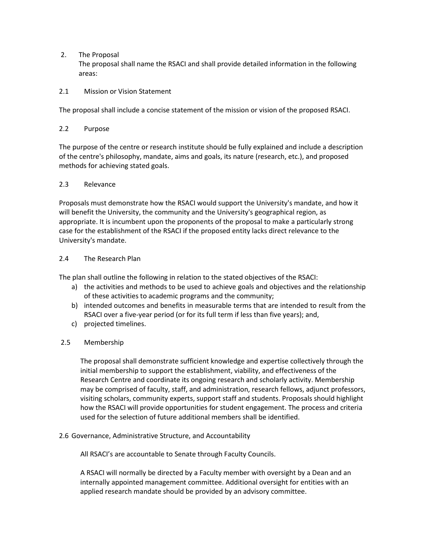2. The Proposal

The proposal shall name the RSACI and shall provide detailed information in the following areas:

# 2.1 Mission or Vision Statement

The proposal shall include a concise statement of the mission or vision of the proposed RSACI.

# 2.2 Purpose

The purpose of the centre or research institute should be fully explained and include a description of the centre's philosophy, mandate, aims and goals, its nature (research, etc.), and proposed methods for achieving stated goals.

# 2.3 Relevance

Proposals must demonstrate how the RSACI would support the University's mandate, and how it will benefit the University, the community and the University's geographical region, as appropriate. It is incumbent upon the proponents of the proposal to make a particularly strong case for the establishment of the RSACI if the proposed entity lacks direct relevance to the University's mandate.

# 2.4 The Research Plan

The plan shall outline the following in relation to the stated objectives of the RSACI:

- a) the activities and methods to be used to achieve goals and objectives and the relationship of these activities to academic programs and the community;
- b) intended outcomes and benefits in measurable terms that are intended to result from the RSACI over a five-year period (or for its full term if less than five years); and,
- c) projected timelines.

# 2.5 Membership

The proposal shall demonstrate sufficient knowledge and expertise collectively through the initial membership to support the establishment, viability, and effectiveness of the Research Centre and coordinate its ongoing research and scholarly activity. Membership may be comprised of faculty, staff, and administration, research fellows, adjunct professors, visiting scholars, community experts, support staff and students. Proposals should highlight how the RSACI will provide opportunities for student engagement. The process and criteria used for the selection of future additional members shall be identified.

# 2.6 Governance, Administrative Structure, and Accountability

All RSACI's are accountable to Senate through Faculty Councils.

A RSACI will normally be directed by a Faculty member with oversight by a Dean and an internally appointed management committee. Additional oversight for entities with an applied research mandate should be provided by an advisory committee.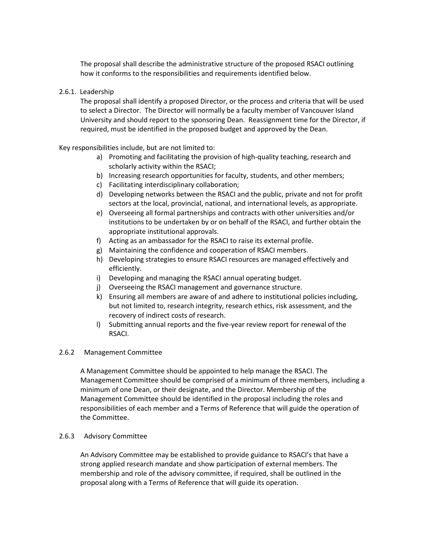The proposal shall describe the administrative structure of the proposed RSACI outlining how it conforms to the responsibilities and requirements identified below.

# 2.6.1. Leadership

The proposal shall identify a proposed Director, or the process and criteria that will be used to select a Director. The Director will normally be a faculty member of Vancouver Island University and should report to the sponsoring Dean. Reassignment time for the Director, if required, must be identified in the proposed budget and approved by the Dean.

Key responsibilities include, but are not limited to:

- a) Promoting and facilitating the provision of high-quality teaching, research and scholarly activity within the RSACI;
- b) Increasing research opportunities for faculty, students, and other members;
- c) Facilitating interdisciplinary collaboration;
- d) Developing networks between the RSACI and the public, private and not for profit sectors at the local, provincial, national, and international levels, as appropriate.
- e) Overseeing all formal partnerships and contracts with other universities and/or institutions to be undertaken by or on behalf of the RSACI, and further obtain the appropriate institutional approvals.
- f) Acting as an ambassador for the RSACI to raise its external profile.
- g) Maintaining the confidence and cooperation of RSACI members.
- h) Developing strategies to ensure RSACI resources are managed effectively and efficiently.
- i) Developing and managing the RSACI annual operating budget.
- j) Overseeing the RSACI management and governance structure.
- k) Ensuring all members are aware of and adhere to institutional policies including, but not limited to, research integrity, research ethics, risk assessment, and the recovery of indirect costs of research.
- l) Submitting annual reports and the five-year review report for renewal of the RSACI.

#### 2.6.2 Management Committee

A Management Committee should be appointed to help manage the RSACI. The Management Committee should be comprised of a minimum of three members, including a minimum of one Dean, or their designate, and the Director. Membership of the Management Committee should be identified in the proposal including the roles and responsibilities of each member and a Terms of Reference that will guide the operation of the Committee.

#### 2.6.3 Advisory Committee

An Advisory Committee may be established to provide guidance to RSACI's that have a strong applied research mandate and show participation of external members. The membership and role of the advisory committee, if required, shall be outlined in the proposal along with a Terms of Reference that will guide its operation.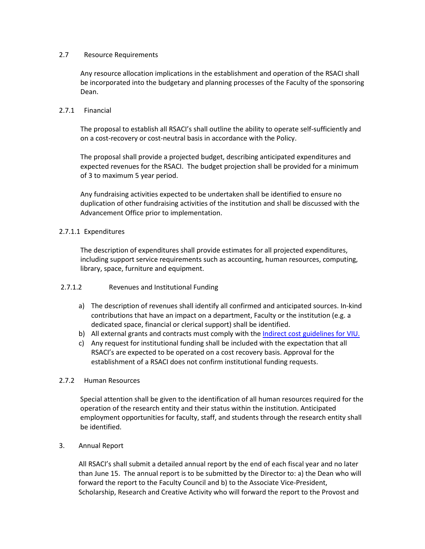### 2.7 Resource Requirements

Any resource allocation implications in the establishment and operation of the RSACI shall be incorporated into the budgetary and planning processes of the Faculty of the sponsoring Dean.

### 2.7.1 Financial

The proposal to establish all RSACI's shall outline the ability to operate self-sufficiently and on a cost-recovery or cost-neutral basis in accordance with the Policy.

The proposal shall provide a projected budget, describing anticipated expenditures and expected revenues for the RSACI. The budget projection shall be provided for a minimum of 3 to maximum 5 year period.

Any fundraising activities expected to be undertaken shall be identified to ensure no duplication of other fundraising activities of the institution and shall be discussed with the Advancement Office prior to implementation.

# 2.7.1.1 Expenditures

The description of expenditures shall provide estimates for all projected expenditures, including support service requirements such as accounting, human resources, computing, library, space, furniture and equipment.

# 2.7.1.2 Revenues and Institutional Funding

- a) The description of revenues shall identify all confirmed and anticipated sources. In-kind contributions that have an impact on a department, Faculty or the institution (e.g. a dedicated space, financial or clerical support) shall be identified.
- b) All external grants and contracts must comply with the [Indirect cost guidelines for VIU.](https://research.viu.ca/sites/default/files/indirect_costs_recovery_and_distribution_-_2019_2.pdf)
- c) Any request for institutional funding shall be included with the expectation that all RSACI's are expected to be operated on a cost recovery basis. Approval for the establishment of a RSACI does not confirm institutional funding requests.

# 2.7.2 Human Resources

Special attention shall be given to the identification of all human resources required for the operation of the research entity and their status within the institution. Anticipated employment opportunities for faculty, staff, and students through the research entity shall be identified.

# 3. Annual Report

All RSACI's shall submit a detailed annual report by the end of each fiscal year and no later than June 15. The annual report is to be submitted by the Director to: a) the Dean who will forward the report to the Faculty Council and b) to the Associate Vice-President, Scholarship, Research and Creative Activity who will forward the report to the Provost and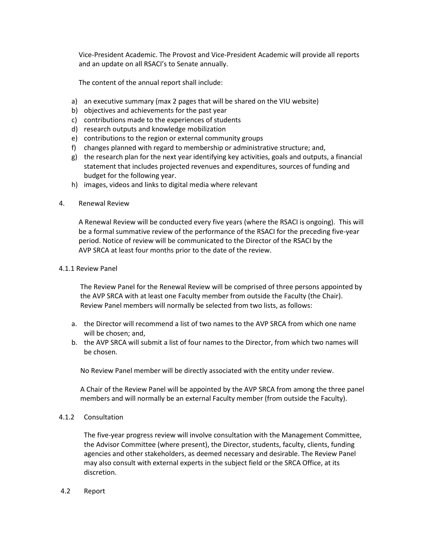Vice-President Academic. The Provost and Vice-President Academic will provide all reports and an update on all RSACI's to Senate annually.

The content of the annual report shall include:

- a) an executive summary (max 2 pages that will be shared on the VIU website)
- b) objectives and achievements for the past year
- c) contributions made to the experiences of students
- d) research outputs and knowledge mobilization
- e) contributions to the region or external community groups
- f) changes planned with regard to membership or administrative structure; and,
- g) the research plan for the next year identifying key activities, goals and outputs, a financial statement that includes projected revenues and expenditures, sources of funding and budget for the following year.
- h) images, videos and links to digital media where relevant
- 4. Renewal Review

A Renewal Review will be conducted every five years (where the RSACI is ongoing). This will be a formal summative review of the performance of the RSACI for the preceding five-year period. Notice of review will be communicated to the Director of the RSACI by the AVP SRCA at least four months prior to the date of the review.

#### 4.1.1 Review Panel

The Review Panel for the Renewal Review will be comprised of three persons appointed by the AVP SRCA with at least one Faculty member from outside the Faculty (the Chair). Review Panel members will normally be selected from two lists, as follows:

- a. the Director will recommend a list of two names to the AVP SRCA from which one name will be chosen; and,
- b. the AVP SRCA will submit a list of four names to the Director, from which two names will be chosen.

No Review Panel member will be directly associated with the entity under review.

A Chair of the Review Panel will be appointed by the AVP SRCA from among the three panel members and will normally be an external Faculty member (from outside the Faculty).

### 4.1.2 Consultation

The five-year progress review will involve consultation with the Management Committee, the Advisor Committee (where present), the Director, students, faculty, clients, funding agencies and other stakeholders, as deemed necessary and desirable. The Review Panel may also consult with external experts in the subject field or the SRCA Office, at its discretion.

4.2 Report